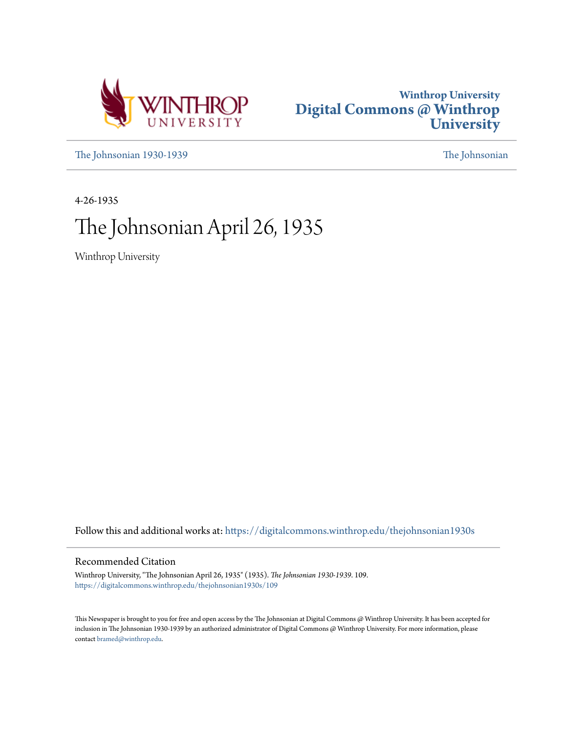



[The Johnsonian 1930-1939](https://digitalcommons.winthrop.edu/thejohnsonian1930s?utm_source=digitalcommons.winthrop.edu%2Fthejohnsonian1930s%2F109&utm_medium=PDF&utm_campaign=PDFCoverPages) [The Johnsonian](https://digitalcommons.winthrop.edu/thejohnsonian_newspaper?utm_source=digitalcommons.winthrop.edu%2Fthejohnsonian1930s%2F109&utm_medium=PDF&utm_campaign=PDFCoverPages)

4-26-1935

# The Johnsonian April 26, 1935

Winthrop University

Follow this and additional works at: [https://digitalcommons.winthrop.edu/thejohnsonian1930s](https://digitalcommons.winthrop.edu/thejohnsonian1930s?utm_source=digitalcommons.winthrop.edu%2Fthejohnsonian1930s%2F109&utm_medium=PDF&utm_campaign=PDFCoverPages)

### Recommended Citation

Winthrop University, "The Johnsonian April 26, 1935" (1935). *The Johnsonian 1930-1939*. 109. [https://digitalcommons.winthrop.edu/thejohnsonian1930s/109](https://digitalcommons.winthrop.edu/thejohnsonian1930s/109?utm_source=digitalcommons.winthrop.edu%2Fthejohnsonian1930s%2F109&utm_medium=PDF&utm_campaign=PDFCoverPages)

This Newspaper is brought to you for free and open access by the The Johnsonian at Digital Commons @ Winthrop University. It has been accepted for inclusion in The Johnsonian 1930-1939 by an authorized administrator of Digital Commons @ Winthrop University. For more information, please contact [bramed@winthrop.edu](mailto:bramed@winthrop.edu).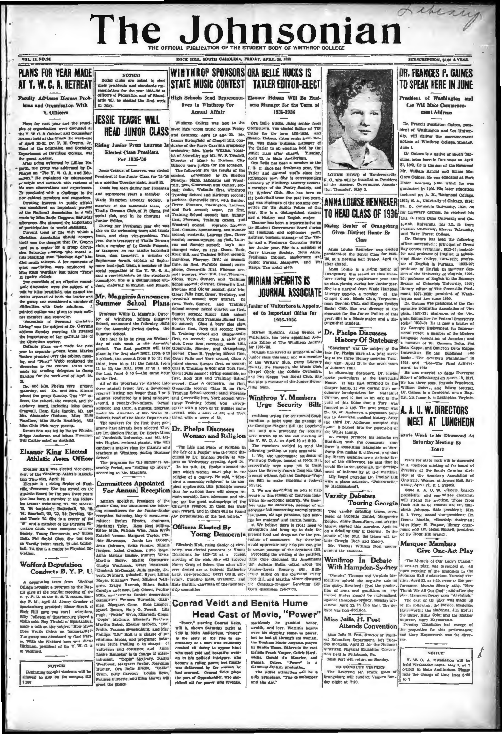# Library The Johnsonian OFFICIAL PUBLICATION OF

LOCK BILL, SOUTH CAROLINA, FRIDAY, APRIL 26, 1935

WINTHROP SPONSORS ORA BELLE HUCKS IS

**Annual Affair** 

Winthrop College was host to the

state high 'chool music contest Priday

and Saturday, April 19 and 30. Mr.<br>Lamar Stringfield, of Chapel Hill, con-

as or near our, and any, we reader the Director of Music in Durham, City<br>Schools were judges for the occasion.<br>The following are the seatils of the comment,<br>context, announced by Dr. Shelton<br>Pheelps: plano, Lancaster and W

orchestra; Mrs. Marie Wilkins, vist of Ashrville; and Mr. W. P. Tw

**PLANS FOR YEAR MADE** AT Y. W. C. A. RETREAT

**VOL. 12, NO. 24** 

My Advisers Discuss Prob is and Organization With

V Officers

Plans for next year and the print Plans for next year and the princi-<br>ples of organization were discussed at<br>the Y. W. C. A. Cabinet and Counselors'<br>Retreat held at the Shack the week-end<br>of April 20-31. Dr. P. R. Gwynn, Jr.,<br>Head of the Education and Soci to smest co

speaker.<br>ing welcomed by Lillian Hoth, the g group was addressed by Dr. "The Y. W. C. A. and Eduups on "The Y. W. G. A. and Edu-<br>sea." He explained the educational Precidents of the Junior Class for 36-36<br>sight and methods with reviews of at a meeting Treaday night, April 25.<br>own observations and experiences. <br>Jesuie

NOTICE!<br>Bocial clubs are asked to elected<br>their presidents and standards rep-<br>seentatives for the year 1935-36 as<br>floors of Pederation and of Standmensauves for the year isso-3<br>floers of Pederation and of Sta<br>rds will be elected the first v of Board of B **High Schools Send Repre** in May.

### **JESSIE TEAGUE WILL HEAD JUNIOR CLASS**

Rising Junior From Laurens **Elected Class President** For 1935-'36

Jessie Teague, of Laurent, was ele

-gash, the proper was addressed by Dr. mais Teaches and Market was design for indications and the species of the species of the species of the species of the species of the species of the species of the species of the spe

STATE MUSIC CONTEST | TATLER FRITOR-FLECT Eleagor Hobson Will Be Busitives to Winthrop For ness Manager for the Term of 1935-1936

Orn Belle Bucks, rising senior from<br>Ceengeoven, was elected Editor of The Tatter for the term into the<br>Eleanor Hobson, rising senior from Bel-199, and the prior from Bel-100, was made but<br>issue manage but the Tatter chape

Ora Belle has been a member of the LR C, since her freshman pear, The Tatler and Journal staffs since her sophenore year. She is corresponding accretional states in the system of Windhrop Literary Booicity, and previous co nomore year, sue is corresponding<br>retary of Winthrop Literary Society,<br>nember of the Poetry Society, and<br>Writers' Club, She has been on ety, and the baskethall team the past two years. and was chairman of the costume and was chairman of the costume communities on the Junior Follies of this<br>year. She is a distinguished student and a History and English major.<br>Eleanor has been a representative on<br>Eleanor has been a representative on<br>the

Exanor has been a representative on<br>the Student Government Board during free freedom and sophomore years,<br>assistant bostness manager of The Tat-<br> $\rm{S}$  are and a Freehmen Counselor during<br> $\rm{S}x$  and a Freehmen Counselo usbinet<br>Porums, Me<br>Tau sont

### **MIRIAM SPEIGHTS IS JOURNAL ASSOCIATE**

**Junior of Walterboro is Appoint**ed to Important Office for

Miriam Spelahts, rising Senior, of Walterboro, has been appointed Asso-<br>clate Editor of The Winthrop Journal for 1935-78.

Mhigm has served as president of the Junior class this year, and is a member<br>of the Writers' Olub, Carry Liderary<br>Society, the Masquera, the Music Club,<br>Chapel Chot, the Oollege Orchestra,<br>and Phil Kappa Tau Social Club.



LOUISE HOWE of He N.C., who will be installed as it is a series of the Student Government<br>tion Thursday, May 2.

**ANNA LOUISE RENNEKER** TO HEAD CLASS OF 1936

Rising Senior of Orangeburg **Given Distinct Honor By** Class

Anna Louise Renneker was elected president of the Septor Class for 1935-36, at a meeting held Friday, April 19, fter chapel.

Anna Louise is a rising Senior of Anna Louise is a ranny senior of protessor or cargonac m bundarie comparation.<br>First during ber Sophemore year, and 26; professor of English in the Summer<br>ret during ber Sophemore year, and 26; professor of English in the She is a marmlal from Water Stampton literary editor of The<br>Literary Society, a member of the ment, 1927-1930; predictioned Choix, Missic China<br>ream German Club, and Kappa Eysilon (m). Colluse was predicted Condita<br>club, S  $\overline{146}$ 

Dr. Phelps Discusses

### **History Of Stateburg**

"Stateburg" was the aubject of the

1933-70.<br>
The stationary was the control of the the stationary was the subject of the<br>
formular base served as president of the tight first method in the Urian results of the the Writers' Olub, Curry Liderary day of the t

the third pr. Anderson occupied this<br>tome. It passed into the possession of<br>the White family.<br>Dr. Phelps perfaced his remarks on<br>Statebury with the comments that<br>there is something intangule at Win-<br>throp that makes it dif

### Winthrop In Debate With Hampden-Sydney

"Dimples" Thomas and Verginia Mecheticus (Continuo pheld the negative adde of the query, Resolved: Thet the product in the finite distance and munitions in the finite distance about the nationalized finite distance, April

### Miss Julia, H. Post **Attends Convention**

Niss Julia H. Pest, divertor of Physical<br>en Baltis Julia H. Pest, divertor of Physical<br>en Baltis April 23, for the National Anerican Physical<br>entries Physical Bluestics Convention Anerican Physical Bluestics<br>that will retu

TO CONDUCT VESPERS<br>The Reverend Mr. Frank Estes of<br>Crangeburg will conduct Vespers Sun-<br>day night at 7:30.

### **DR. FRANCES P. GAINES** TO SPEAK HERE IN JUNE

SUBSCRIPTION, \$1.00 A YEAR

President of Washington and Lee Will Make Commencement Address

Dr. Prancis Pendleton Gaines, president of Washington and Lee Univeraddress at Winthrop College, Monday, Jone<sub>2</sub>

fine a. olina, heing born in Due West on April.<br>21, 1992, He is the son of the Reverend Mr. William Arnold and Emma Mc-Grew Gaines. He was educated at Pork Union Academy from which he was graduated in 1909. His later educ ded an A. M., Richn ond College 1912; M. A., University of Chicago, 1914-Ph. D., Columbia University, 1924. As for honorary degrees, he received his for nonorary degrees, ne received ass<br>Litt. D. from Duke University and Co-<br>lumbia University, his LL. D. from

and Wake Porest College.<br>Dr. Gaines has held the following

offices successively: principal of Green<br>Bay School (Virginia), 1912-13; instruc-<br>for and professor of English in Missis-<br>slop) State College, 1914-1923; professor of English in Purman, 1923-27; profesor of English in Summer Sesnior year. Seasion of Columnus Universary, 1941;<br>Hampton Ilterary editor of The Greenville Pied-<br>of the mont, 1927-1930; president of Wash-<br>precusines ington and Lee since 1930.

ington and Lee since 1930.<br>Dr. Gaines was president of the Con Associatio of The man of the Virsinta Committee for Pederal Emergency<br>Relief, 1933-34. He is now a truste<br>the Carriegie Endowment for Inter-Relief. 1933-31. All comment for the Carnegie Endowment for the Motors and Peace: a member of the Motors. tional Pesec is member of the Modern<br>theory canonical the Modern Language Association of America; and<br>1 member of Phi Chamma Della, Phil<br>1 member of Phi Chamma Della, Espa<br>1 member of Phi Chamma Della, Espa<br>1 fratation: "T

### A. A. U. W. DIRECTORS **MEET AT LUNCHEON**

State Work to Be Discussed At **Saturday Meeting Ry Board** 

The literature of the difference are definite factoring the model in the difference of the base, above all, the decretion of the based of the based of the based of the model in the model of the based of the model in the m

The Miracle of Our Lady's Ghapel,"<br>
a con-set plug, wear preceded at an and specified as a specifically, the<br>
open meeting of the Masquera function of the specific function of<br>
a primeric Miracle (in the precedent of the The Miracle of Our Lady's Chap

NOTICE!<br>
Y. W. C. A. installation will be<br>
held Wednesday night, May 1, at 7<br>
o'tock in Main Auditorium. Presse<br>
note the change of time from 6:30<br>
to 7!

h.

1935-1936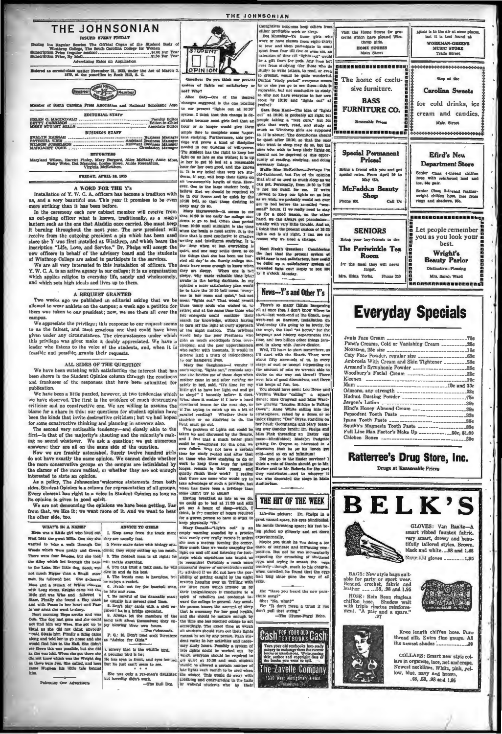

The Official Organ of the snen<br>\$1.00 Per Year<br>\*\* 60 Per Year on Price (regul er Rates on Anti

ed as second-class matter November 21, 1923, under the Act of March 3.<br>1879, at the postoffice in Rock Hill, S. C.



| <b>BUSINESS STAFF</b>                       |  |
|---------------------------------------------|--|
| WILSON JOSSELSON  Assivant Business Manager |  |

### THE JOHNSONIAN



qu ratem of lights ast sati-on

which applies religion to every algo a method and whole and whole and y avoids then y avoids a method and whole and y and whole and y and whole and y and whole and y and whole and y and whole and y and whole and y and whe

take advantage of such a privilege,<br>when has there been a privilege t ome didn't try to abt

with the season of the season of the season of the season of the season of the season of the season of the season of the season of the season of the season of the season of the season of the season of the season of the sea ns it unless any<br>thing is tank man, he will is<br>uncertainties contribute on the case of the sine and the sine of the<br> $\alpha$  is a finite of the sine of the basebol interest of<br>the sine of the basebol man, is harmleng . So it all<br>thing of economics Which everyone mount or requires the file of the allowed a certain number of late lights each month to be used when the wished. This would do away with

noughtless measures keep concrete<br>The Doctable work or sleep.<br>Doct Mansseng-To those girls who to four and then participate in some<br>sport from four till five or even six, an **COPINION** Sections of the desired purpose and the species of the desired and the special and the special control of the special control of the special control of the special control of the special control of the special on of time till "lights out" w

sa keep others from





nt space, his eyes bl rat vac his hands thrashing space; his feet be ing picked up gingerly at

dance of intricate and intriguing com on. But no! he was mom expecting the crunching<br>eggs, and trying to am ing of shatte the erg rly-though, much to his ch when unveiled, he found that the eg

**Cash FOR YOUR OLD Gash** 'n e old rextbooks int<br>a exchange them for thor and copyright date of The Zavelle Company 1330 West Montgo



## **Everyday Specials**

| Noxezma, 25c size ____________________________15e       |  |
|---------------------------------------------------------|--|
|                                                         |  |
| Ambrosia With Cream and Skin Tightener ________59e      |  |
|                                                         |  |
|                                                         |  |
|                                                         |  |
|                                                         |  |
|                                                         |  |
|                                                         |  |
|                                                         |  |
|                                                         |  |
|                                                         |  |
|                                                         |  |
|                                                         |  |
| Full Line Max Factor's Make Up _____________50c, \$1.00 |  |
|                                                         |  |
|                                                         |  |

### Ratterree's Drug Store, Inc.

Drugs at Reasonable Prices



HOSE: Rein Beau ringless<br>chiffon hose. Shadow welt<br>with triple ringtoe reinforce-<br>ment. "A pair and a spare."<br>97



Knee length chiffon hose. Pure thread silk. Extra fine gauge. All the newest shades .

n

COLLARS: Smart new style colcontains in organise, lace, net and creepe.<br>Newest necklines. White, pink, yel-<br>low, blue, navy and brown.<br>.48, 59, 98 and 1.95

There were four Moodes, but also concern the control map is all right; no the disk<br>properties from the control in the control of the buth and in the buth<br>and the buth and through the Lands will tackle anything. It is benc

interested to state an opinion.<br>
As a policy, The Johnsonian 'welcomes statements from both<br>
As a policy, The Johnsonian 'welcomes statements from both

As a policy, The Johnsonian welcomes statements from oothedes. Student Opinion is a column for representation of all groups.<br>Every element has right to a voice in Student Opinion so long as

sophion is given in good spirit. The matter opinion is over the spirit.

from that, we like it; we want more of it. And we want to heat

pe was a Little girl who lived out | 1. Keep away from the truck

WHAT'S IN A NAME?

the One Advertisers

She was only a yes-man's daught



**ADVICE TO GIBLS** 

but he wellty didn't work. Sull Dog. something and congregating in it.

Eaving breakfast as late as we do.<br>Taving breakfast as late as we do.<br>We could go to bed at 11:30 and still<br>get our a houre of slave-which, I think, is it is number of hours required. Life-size pla for a grown person to have in order to<br>keep physically "fit."<br>Mary Donald---"Lights out" is an<br>empty warning sounded by a proctor

# THE HIT OF THE WEEK

experimentally.<br>Maybe you think ha was doing a to

had long since gone the way of

He: "Have you heard the new part

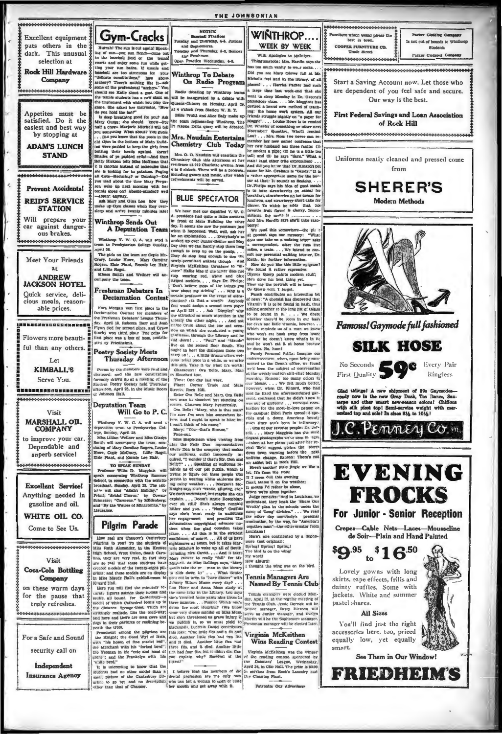

THE JOHNSONIAN



 $2<sup>+</sup>$ ANDREW<br>JACKSON HOTEL Quick service, delicious meals, reasonable prices. Flowers more beautiful than any others. Let **KIMBALL'S** Serve You. 

**Excellent** equipment

puts others in the

dark. This unusual

selection at

**Rock Hill Hardware** 

Company

\*\*\*\*\*\*\*\*\*\*\*

Appetites must be

satisfied. Do it the

easiest and best way by stopping at

**ADAM'S LUNCH** 

**STAND** 

**Prevent Accidents!** 

**REID'S SERVICE** 

**STATION** 

Will prepare your

car against danger-

ous brakes.

Meet Your Friends

Visit **MARSHALL OIL COMPANY** to improve your car. Dependable and

 $\frac{1}{M}$ 

\*\*\*\*\*\*\*\*\*\*\*\*\*

superb service! ,,,,,,,,,,,,,

**Excellent Service!** Anything needed in gasoline and oil.

WHITE OIL CO.

Come to See Us.

### Visit

**Coca-Cola Bottling** Company on these warm days

for the pause that truly refreshes. \*\*\*\*\*\*\*\*\*\*\*\*\*\*\*\*\*\*\*\*\*

For a Safe and Sound

security call on

Independent

Insurance Agency